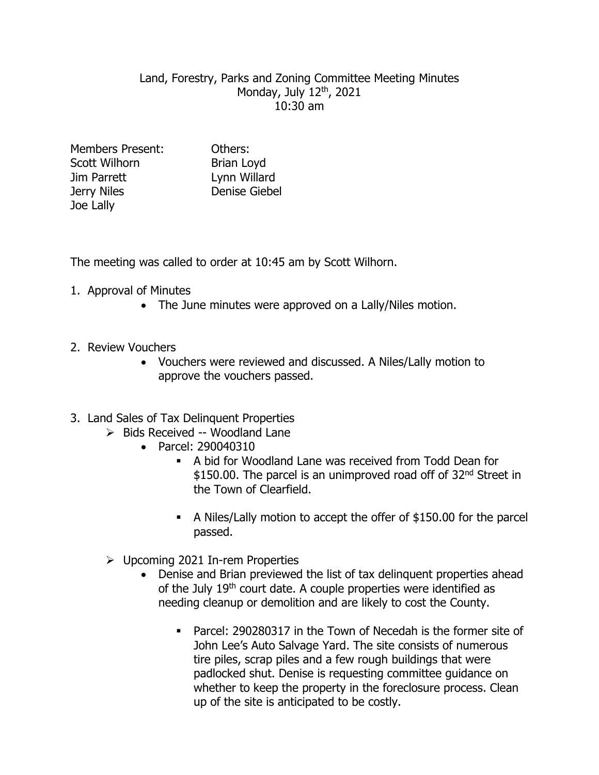## Land, Forestry, Parks and Zoning Committee Meeting Minutes Monday, July 12<sup>th</sup>, 2021 10:30 am

| <b>Members Present:</b> | Others:              |
|-------------------------|----------------------|
| Scott Wilhorn           | <b>Brian Loyd</b>    |
| Jim Parrett             | Lynn Willard         |
| Jerry Niles             | <b>Denise Giebel</b> |
| Joe Lally               |                      |

The meeting was called to order at 10:45 am by Scott Wilhorn.

- 1. Approval of Minutes
	- The June minutes were approved on a Lally/Niles motion.
- 2. Review Vouchers
	- Vouchers were reviewed and discussed. A Niles/Lally motion to approve the vouchers passed.
- 3. Land Sales of Tax Delinquent Properties
	- $\triangleright$  Bids Received -- Woodland Lane
		- Parcel: 290040310
			- A bid for Woodland Lane was received from Todd Dean for \$150.00. The parcel is an unimproved road off of 32<sup>nd</sup> Street in the Town of Clearfield.
			- A Niles/Lally motion to accept the offer of \$150.00 for the parcel passed.
		- $\triangleright$  Upcoming 2021 In-rem Properties
			- Denise and Brian previewed the list of tax delinquent properties ahead of the July 19<sup>th</sup> court date. A couple properties were identified as needing cleanup or demolition and are likely to cost the County.
				- Parcel: 290280317 in the Town of Necedah is the former site of John Lee's Auto Salvage Yard. The site consists of numerous tire piles, scrap piles and a few rough buildings that were padlocked shut. Denise is requesting committee guidance on whether to keep the property in the foreclosure process. Clean up of the site is anticipated to be costly.